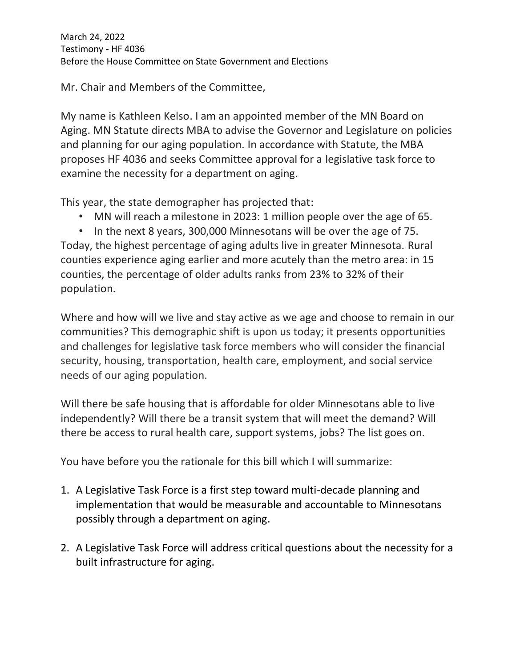March 24, 2022 Testimony - HF 4036 Before the House Committee on State Government and Elections

Mr. Chair and Members of the Committee,

My name is Kathleen Kelso. I am an appointed member of the MN Board on Aging. MN Statute directs MBA to advise the Governor and Legislature on policies and planning for our aging population. In accordance with Statute, the MBA proposes HF 4036 and seeks Committee approval for a legislative task force to examine the necessity for a department on aging.

This year, the state demographer has projected that:

- MN will reach a milestone in 2023: 1 million people over the age of 65.
- In the next 8 years, 300,000 Minnesotans will be over the age of 75.

Today, the highest percentage of aging adults live in greater Minnesota. Rural counties experience aging earlier and more acutely than the metro area: in 15 counties, the percentage of older adults ranks from 23% to 32% of their population.

Where and how will we live and stay active as we age and choose to remain in our communities? This demographic shift is upon us today; it presents opportunities and challenges for legislative task force members who will consider the financial security, housing, transportation, health care, employment, and social service needs of our aging population.

Will there be safe housing that is affordable for older Minnesotans able to live independently? Will there be a transit system that will meet the demand? Will there be access to rural health care, support systems, jobs? The list goes on.

You have before you the rationale for this bill which I will summarize:

- 1. A Legislative Task Force is a first step toward multi-decade planning and implementation that would be measurable and accountable to Minnesotans possibly through a department on aging.
- 2. A Legislative Task Force will address critical questions about the necessity for a built infrastructure for aging.